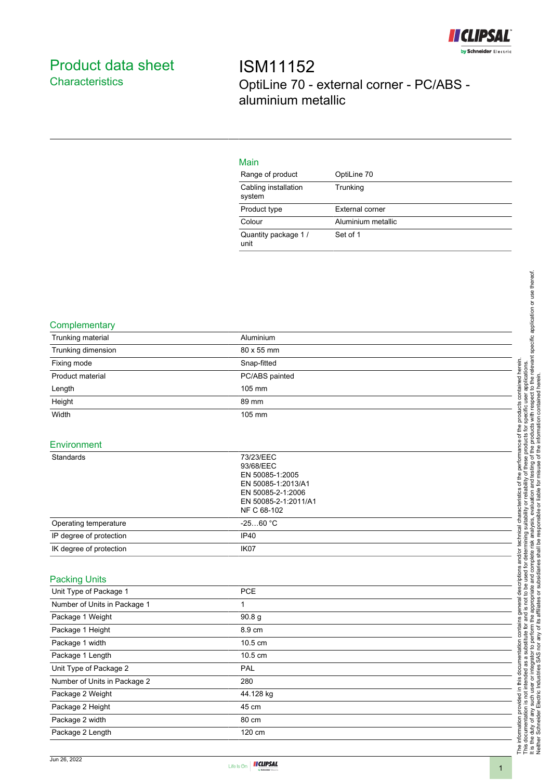

# <span id="page-0-0"></span>Product data sheet **Characteristics**

ISM11152 OptiLine 70 - external corner - PC/ABS aluminium metallic

## Main

| Range of product               | OptiLine 70        |
|--------------------------------|--------------------|
| Cabling installation<br>system | Trunking           |
| Product type                   | External corner    |
| Colour                         | Aluminium metallic |
| Quantity package 1/<br>unit    | Set of 1           |

#### **Complementary**

| Trunking material            | Aluminium                                                                                                                   |
|------------------------------|-----------------------------------------------------------------------------------------------------------------------------|
| Trunking dimension           | 80 x 55 mm                                                                                                                  |
| Fixing mode                  | Snap-fitted                                                                                                                 |
| Product material             | PC/ABS painted                                                                                                              |
| Length                       | 105 mm                                                                                                                      |
| Height                       | 89 mm                                                                                                                       |
| Width                        | 105 mm                                                                                                                      |
|                              |                                                                                                                             |
| Environment                  |                                                                                                                             |
| Standards                    | 73/23/EEC<br>93/68/EEC<br>EN 50085-1:2005<br>EN 50085-1:2013/A1<br>EN 50085-2-1:2006<br>EN 50085-2-1:2011/A1<br>NF C 68-102 |
| Operating temperature        | $-2560 °C$                                                                                                                  |
| IP degree of protection      | IP40                                                                                                                        |
| IK degree of protection      | IK07                                                                                                                        |
| <b>Packing Units</b>         |                                                                                                                             |
| Unit Type of Package 1       | PCE                                                                                                                         |
| Number of Units in Package 1 | 1                                                                                                                           |
| Package 1 Weight             | 90.8 g                                                                                                                      |
| Package 1 Height             | 8.9 cm                                                                                                                      |
| Package 1 width              | 10.5 cm                                                                                                                     |
| Package 1 Length             | 10.5 cm                                                                                                                     |
| Unit Type of Package 2       | PAL                                                                                                                         |
| Number of Units in Package 2 | 280                                                                                                                         |
| Package 2 Weight             | 44.128 kg                                                                                                                   |
| Package 2 Height             | 45 cm                                                                                                                       |
| Package 2 width              | 80 cm                                                                                                                       |
| Package 2 Length             | 120 cm                                                                                                                      |
|                              |                                                                                                                             |